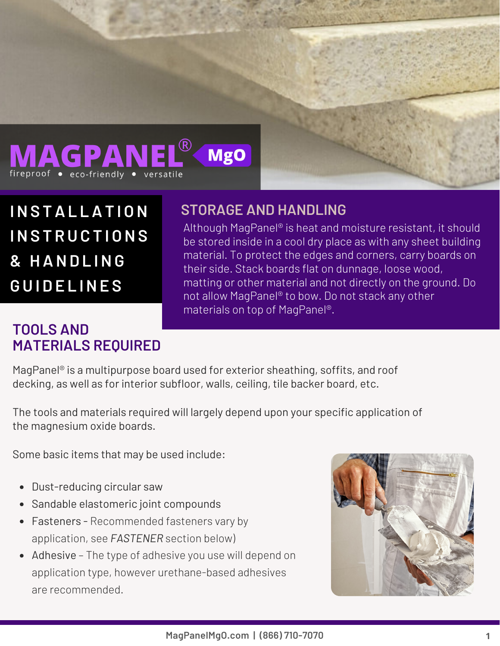

**INS TAL LAT I ON INS T R U C T I ONS & HAND L ING G U I D E L INE S**

#### **TOOLS AND MATERIALS REQUIRED**

#### **STORAGE AND HANDLING**

Although MagPanel® is heat and moisture resistant, it should be stored inside in a cool dry place as with any sheet building material. To protect the edges and corners, carry boards on their side. Stack boards flat on dunnage, loose wood, matting or other material and not directly on the ground. Do not allow MagPanel® to bow. Do not stack any other materials on top of MagPanel®.

MagPanel® is a multipurpose board used for exterior sheathing, soffits, and roof decking, as well as for interior subfloor, walls, ceiling, tile backer board, etc.

The tools and materials required will largely depend upon your specific application of the magnesium oxide boards.

Some basic items that may be used include:

- Dust-reducing circular saw
- Sandable elastomeric joint compounds
- Fasteners Recommended fasteners vary by application, see *FASTENER* section below)
- Adhesive The type of adhesive you use will depend on application type, however urethane-based adhesives are recommended.

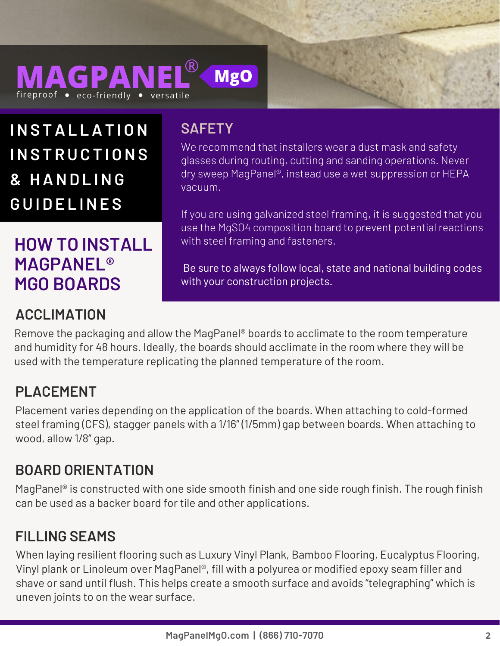

**INS TAL LAT I ON SAFETY INS T R U C T I ONS & HAND L ING G U I D E L INE S**

# **HOW TO INSTALL MAGPANEL® MGO BOARDS**

# **ACCLIMATION**

We recommend that installers wear a dust mask and safety glasses during routing, cutting and sanding operations. Never dry sweep MagPanel®, instead use a wet suppression or HEPA vacuum.

If you are using galvanized steel framing, it is suggested that you use the MgSO4 composition board to prevent potential reactions with steel framing and fasteners.

Be sure to always follow local, state and national building codes with your construction projects.

Remove the packaging and allow the MagPanel® boards to acclimate to the room temperature and humidity for 48 hours. Ideally, the boards should acclimate in the room where they will be used with the temperature replicating the planned temperature of the room.

#### **PLACEMENT**

Placement varies depending on the application of the boards. When attaching to cold-formed steel framing (CFS), stagger panels with a 1/16" (1/5mm) gap between boards. When attaching to wood, allow 1/8" gap.

#### **BOARD ORIENTATION**

MagPanel® is constructed with one side smooth finish and one side rough finish. The rough finish can be used as a backer board for tile and other applications.

### **FILLING SEAMS**

When laying resilient flooring such as Luxury Vinyl Plank, Bamboo Flooring, Eucalyptus Flooring, Vinyl plank or Linoleum over MagPanel®, fill with a polyurea or modified epoxy seam filler and shave or sand until flush. This helps create a smooth surface and avoids "telegraphing" which is uneven joints to on the wear surface.